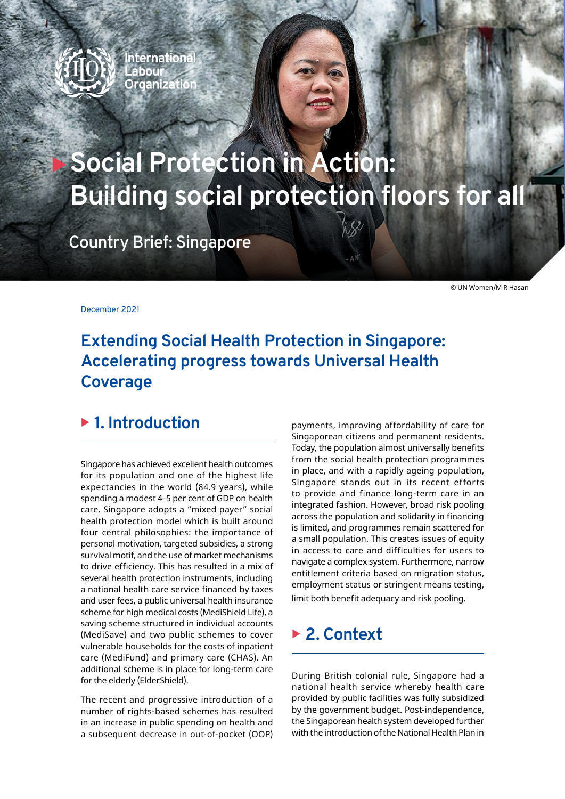

**Internationa** Labour **Organization** 

# **Social Protection in Action: Building social protection floors for all**

**Country Brief: Singapore**

© UN Women/M R Hasan

December 2021

# **Extending Social Health Protection in Singapore: Accelerating progress towards Universal Health Coverage**

## ▶ 1. Introduction

Singapore has achieved excellent health outcomes for its population and one of the highest life expectancies in the world (84.9 years), while spending a modest 4–5 per cent of GDP on health care. Singapore adopts a "mixed payer" social health protection model which is built around four central philosophies: the importance of personal motivation, targeted subsidies, a strong survival motif, and the use of market mechanisms to drive efficiency. This has resulted in a mix of several health protection instruments, including a national health care service financed by taxes and user fees, a public universal health insurance scheme for high medical costs (MediShield Life), a saving scheme structured in individual accounts (MediSave) and two public schemes to cover vulnerable households for the costs of inpatient care (MediFund) and primary care (CHAS). An additional scheme is in place for long-term care for the elderly (ElderShield).

The recent and progressive introduction of a number of rights-based schemes has resulted in an increase in public spending on health and a subsequent decrease in out-of-pocket (OOP)

payments, improving affordability of care for Singaporean citizens and permanent residents. Today, the population almost universally benefits from the social health protection programmes in place, and with a rapidly ageing population, Singapore stands out in its recent efforts to provide and finance long-term care in an integrated fashion. However, broad risk pooling across the population and solidarity in financing is limited, and programmes remain scattered for a small population. This creates issues of equity in access to care and difficulties for users to navigate a complex system. Furthermore, narrow entitlement criteria based on migration status, employment status or stringent means testing, limit both benefit adequacy and risk pooling.

# ▶ 2. Context

During British colonial rule, Singapore had a national health service whereby health care provided by public facilities was fully subsidized by the government budget. Post-independence, the Singaporean health system developed further with the introduction of the National Health Plan in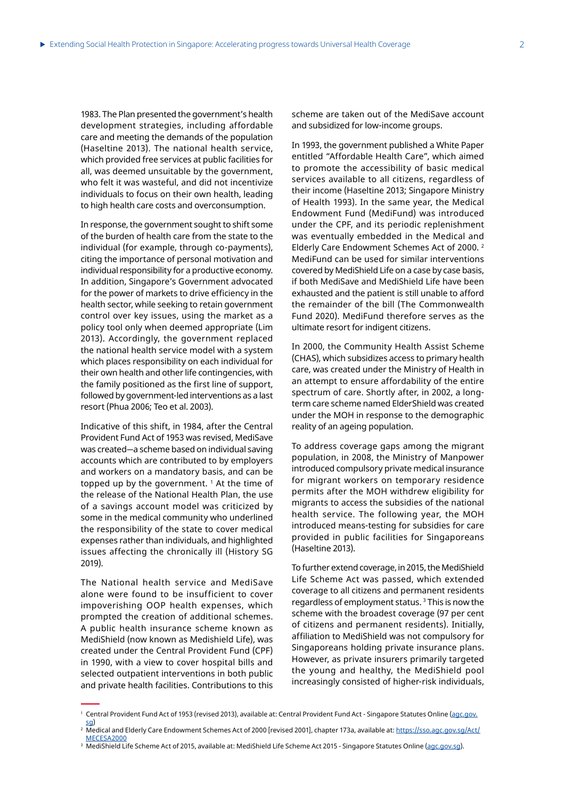1983. The Plan presented the government's health development strategies, including affordable care and meeting the demands of the population (Haseltine 2013). The national health service, which provided free services at public facilities for all, was deemed unsuitable by the government, who felt it was wasteful, and did not incentivize individuals to focus on their own health, leading to high health care costs and overconsumption.

In response, the government sought to shift some of the burden of health care from the state to the individual (for example, through co-payments), citing the importance of personal motivation and individual responsibility for a productive economy. In addition, Singapore's Government advocated for the power of markets to drive efficiency in the health sector, while seeking to retain government control over key issues, using the market as a policy tool only when deemed appropriate (Lim 2013). Accordingly, the government replaced the national health service model with a system which places responsibility on each individual for their own health and other life contingencies, with the family positioned as the first line of support, followed by government-led interventions as a last resort (Phua 2006; Teo et al. 2003).

Indicative of this shift, in 1984, after the Central Provident Fund Act of 1953 was revised, MediSave was created—a scheme based on individual saving accounts which are contributed to by employers and workers on a mandatory basis, and can be topped up by the government. <sup>1</sup> At the time of the release of the National Health Plan, the use of a savings account model was criticized by some in the medical community who underlined the responsibility of the state to cover medical expenses rather than individuals, and highlighted issues affecting the chronically ill (History SG 2019).

The National health service and MediSave alone were found to be insufficient to cover impoverishing OOP health expenses, which prompted the creation of additional schemes. A public health insurance scheme known as MediShield (now known as Medishield Life), was created under the Central Provident Fund (CPF) in 1990, with a view to cover hospital bills and selected outpatient interventions in both public and private health facilities. Contributions to this

scheme are taken out of the MediSave account and subsidized for low-income groups.

In 1993, the government published a White Paper entitled "Affordable Health Care", which aimed to promote the accessibility of basic medical services available to all citizens, regardless of their income (Haseltine 2013; Singapore Ministry of Health 1993). In the same year, the Medical Endowment Fund (MediFund) was introduced under the CPF, and its periodic replenishment was eventually embedded in the Medical and Elderly Care Endowment Schemes Act of 2000. 2 MediFund can be used for similar interventions covered by MediShield Life on a case by case basis, if both MediSave and MediShield Life have been exhausted and the patient is still unable to afford the remainder of the bill (The Commonwealth Fund 2020). MediFund therefore serves as the ultimate resort for indigent citizens.

In 2000, the Community Health Assist Scheme (CHAS), which subsidizes access to primary health care, was created under the Ministry of Health in an attempt to ensure affordability of the entire spectrum of care. Shortly after, in 2002, a longterm care scheme named ElderShield was created under the MOH in response to the demographic reality of an ageing population.

To address coverage gaps among the migrant population, in 2008, the Ministry of Manpower introduced compulsory private medical insurance for migrant workers on temporary residence permits after the MOH withdrew eligibility for migrants to access the subsidies of the national health service. The following year, the MOH introduced means-testing for subsidies for care provided in public facilities for Singaporeans (Haseltine 2013).

To further extend coverage, in 2015, the MediShield Life Scheme Act was passed, which extended coverage to all citizens and permanent residents regardless of employment status. 3 This is now the scheme with the broadest coverage (97 per cent of citizens and permanent residents). Initially, affiliation to MediShield was not compulsory for Singaporeans holding private insurance plans. However, as private insurers primarily targeted the young and healthy, the MediShield pool increasingly consisted of higher-risk individuals,

<sup>3</sup> MediShield Life Scheme Act of 2015, available at: MediShield Life Scheme Act 2015 - Singapore Statutes Online (<u>[agc.gov.sg](http://agc.gov.sg)</u>).

<sup>&</sup>lt;sup>1</sup> Central Provident Fund Act of 1953 (revised 2013), available at: Central Provident Fund Act - Singapore Statutes Online (<u>[agc.gov.](http://agc.gov.sg)</u> [sg](http://agc.gov.sg))

<sup>2</sup> Medical and Elderly Care Endowment Schemes Act of 2000 [revised 2001], chapter 173a, available at: [https://sso.agc.gov.sg/Act/](https://sso.agc.gov.sg/Act/MECESA2000) [MECESA2000](https://sso.agc.gov.sg/Act/MECESA2000)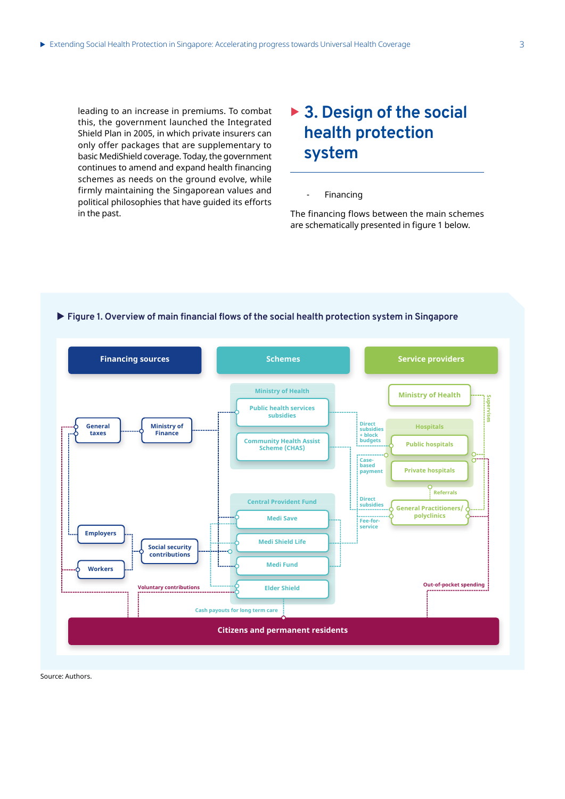leading to an increase in premiums. To combat this, the government launched the Integrated Shield Plan in 2005, in which private insurers can only offer packages that are supplementary to basic MediShield coverage. Today, the government continues to amend and expand health financing schemes as needs on the ground evolve, while firmly maintaining the Singaporean values and political philosophies that have guided its efforts in the past.

# ▶ 3. Design of the social **health protection system**

**Financing** 

The financing flows between the main schemes are schematically presented in figure 1 below.



## ▶ Figure 1. Overview of main financial flows of the social health protection system in Singapore

Source: Authors.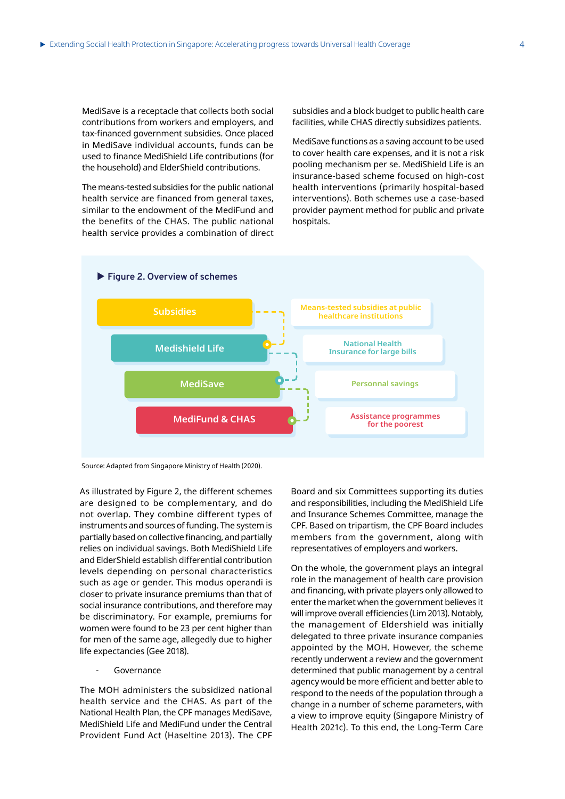MediSave is a receptacle that collects both social contributions from workers and employers, and tax-financed government subsidies. Once placed in MediSave individual accounts, funds can be used to finance MediShield Life contributions (for the household) and ElderShield contributions.

The means-tested subsidies for the public national health service are financed from general taxes, similar to the endowment of the MediFund and the benefits of the CHAS. The public national health service provides a combination of direct subsidies and a block budget to public health care facilities, while CHAS directly subsidizes patients.

MediSave functions as a saving account to be used to cover health care expenses, and it is not a risk pooling mechanism per se. MediShield Life is an insurance-based scheme focused on high-cost health interventions (primarily hospital-based interventions). Both schemes use a case-based provider payment method for public and private hospitals.



Source: Adapted from Singapore Ministry of Health (2020).

As illustrated by Figure 2, the different schemes are designed to be complementary, and do not overlap. They combine different types of instruments and sources of funding. The system is partially based on collective financing, and partially relies on individual savings. Both MediShield Life and ElderShield establish differential contribution levels depending on personal characteristics such as age or gender. This modus operandi is closer to private insurance premiums than that of social insurance contributions, and therefore may be discriminatory. For example, premiums for women were found to be 23 per cent higher than for men of the same age, allegedly due to higher life expectancies (Gee 2018).

**Governance** 

The MOH administers the subsidized national health service and the CHAS. As part of the National Health Plan, the CPF manages MediSave, MediShield Life and MediFund under the Central Provident Fund Act (Haseltine 2013). The CPF Board and six Committees supporting its duties and responsibilities, including the MediShield Life and Insurance Schemes Committee, manage the CPF. Based on tripartism, the CPF Board includes members from the government, along with representatives of employers and workers.

On the whole, the government plays an integral role in the management of health care provision and financing, with private players only allowed to enter the market when the government believes it will improve overall efficiencies (Lim 2013). Notably, the management of Eldershield was initially delegated to three private insurance companies appointed by the MOH. However, the scheme recently underwent a review and the government determined that public management by a central agency would be more efficient and better able to respond to the needs of the population through a change in a number of scheme parameters, with a view to improve equity (Singapore Ministry of Health 2021c). To this end, the Long-Term Care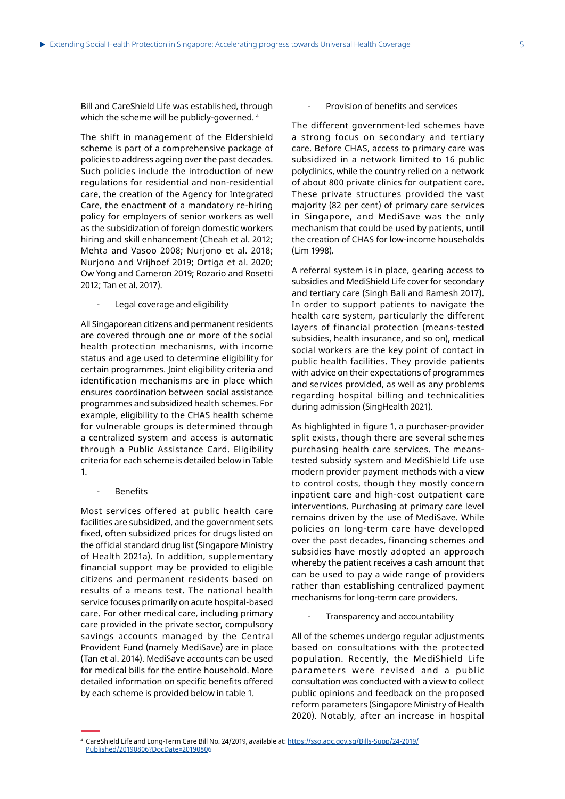Bill and CareShield Life was established, through which the scheme will be publicly-governed.  $\rm ^4$ 

The shift in management of the Eldershield scheme is part of a comprehensive package of policies to address ageing over the past decades. Such policies include the introduction of new regulations for residential and non-residential care, the creation of the Agency for Integrated Care, the enactment of a mandatory re-hiring policy for employers of senior workers as well as the subsidization of foreign domestic workers hiring and skill enhancement (Cheah et al. 2012; Mehta and Vasoo 2008; Nurjono et al. 2018; Nurjono and Vrijhoef 2019; Ortiga et al. 2020; Ow Yong and Cameron 2019; Rozario and Rosetti 2012; Tan et al. 2017).

Legal coverage and eligibility

All Singaporean citizens and permanent residents are covered through one or more of the social health protection mechanisms, with income status and age used to determine eligibility for certain programmes. Joint eligibility criteria and identification mechanisms are in place which ensures coordination between social assistance programmes and subsidized health schemes. For example, eligibility to the CHAS health scheme for vulnerable groups is determined through a centralized system and access is automatic through a Public Assistance Card. Eligibility criteria for each scheme is detailed below in Table 1.

#### **Benefits**

Most services offered at public health care facilities are subsidized, and the government sets fixed, often subsidized prices for drugs listed on the official standard drug list (Singapore Ministry of Health 2021a). In addition, supplementary financial support may be provided to eligible citizens and permanent residents based on results of a means test. The national health service focuses primarily on acute hospital-based care. For other medical care, including primary care provided in the private sector, compulsory savings accounts managed by the Central Provident Fund (namely MediSave) are in place (Tan et al. 2014). MediSave accounts can be used for medical bills for the entire household. More detailed information on specific benefits offered by each scheme is provided below in table 1.

### Provision of benefits and services

The different government-led schemes have a strong focus on secondary and tertiary care. Before CHAS, access to primary care was subsidized in a network limited to 16 public polyclinics, while the country relied on a network of about 800 private clinics for outpatient care. These private structures provided the vast majority (82 per cent) of primary care services in Singapore, and MediSave was the only mechanism that could be used by patients, until the creation of CHAS for low-income households (Lim 1998).

A referral system is in place, gearing access to subsidies and MediShield Life cover for secondary and tertiary care (Singh Bali and Ramesh 2017). In order to support patients to navigate the health care system, particularly the different layers of financial protection (means-tested subsidies, health insurance, and so on), medical social workers are the key point of contact in public health facilities. They provide patients with advice on their expectations of programmes and services provided, as well as any problems regarding hospital billing and technicalities during admission (SingHealth 2021).

As highlighted in figure 1, a purchaser-provider split exists, though there are several schemes purchasing health care services. The meanstested subsidy system and MediShield Life use modern provider payment methods with a view to control costs, though they mostly concern inpatient care and high-cost outpatient care interventions. Purchasing at primary care level remains driven by the use of MediSave. While policies on long-term care have developed over the past decades, financing schemes and subsidies have mostly adopted an approach whereby the patient receives a cash amount that can be used to pay a wide range of providers rather than establishing centralized payment mechanisms for long-term care providers.

Transparency and accountability

All of the schemes undergo regular adjustments based on consultations with the protected population. Recently, the MediShield Life parameters were revised and a public consultation was conducted with a view to collect public opinions and feedback on the proposed reform parameters (Singapore Ministry of Health 2020). Notably, after an increase in hospital

<sup>4</sup> CareShield Life and Long-Term Care Bill No. 24/2019, available at: [https://sso.agc.gov.sg/Bills-Supp/24-2019/](https://sso.agc.gov.sg/Bills-Supp/24-2019/Published/20190806?DocDate=20190806) [Published/20190806?DocDate=20190806](https://sso.agc.gov.sg/Bills-Supp/24-2019/Published/20190806?DocDate=20190806)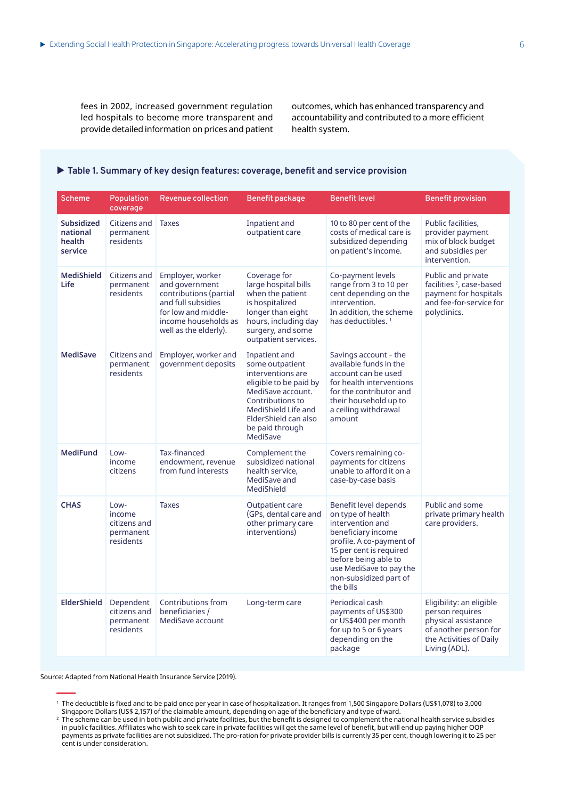fees in 2002, increased government regulation led hospitals to become more transparent and provide detailed information on prices and patient outcomes, which has enhanced transparency and accountability and contributed to a more efficient health system.

## $\blacktriangleright$  Table 1. Summary of key design features: coverage, benefit and service provision

| <b>Scheme</b>                                      | Population<br>coverage                                   | <b>Revenue collection</b>                                                                                                                                  | Benefit package                                                                                                                                                                                        | <b>Benefit level</b>                                                                                                                                                                                                                  | <b>Benefit provision</b>                                                                                                                |
|----------------------------------------------------|----------------------------------------------------------|------------------------------------------------------------------------------------------------------------------------------------------------------------|--------------------------------------------------------------------------------------------------------------------------------------------------------------------------------------------------------|---------------------------------------------------------------------------------------------------------------------------------------------------------------------------------------------------------------------------------------|-----------------------------------------------------------------------------------------------------------------------------------------|
| <b>Subsidized</b><br>national<br>health<br>service | Citizens and<br>permanent<br>residents                   | <b>Taxes</b>                                                                                                                                               | Inpatient and<br>outpatient care                                                                                                                                                                       | 10 to 80 per cent of the<br>costs of medical care is<br>subsidized depending<br>on patient's income.                                                                                                                                  | Public facilities.<br>provider payment<br>mix of block budget<br>and subsidies per<br>intervention.                                     |
| <b>MediShield</b><br><b>Life</b>                   | Citizens and<br>permanent<br>residents                   | Employer, worker<br>and government<br>contributions (partial<br>and full subsidies<br>for low and middle-<br>income households as<br>well as the elderly). | Coverage for<br>large hospital bills<br>when the patient<br>is hospitalized<br>longer than eight<br>hours, including day<br>surgery, and some<br>outpatient services.                                  | Co-payment levels<br>range from 3 to 10 per<br>cent depending on the<br>intervention.<br>In addition, the scheme<br>has deductibles. <sup>1</sup>                                                                                     | Public and private<br>facilities <sup>2</sup> , case-based<br>payment for hospitals<br>and fee-for-service for<br>polyclinics.          |
| <b>MediSave</b>                                    | Citizens and<br>permanent<br>residents                   | Employer, worker and<br>government deposits                                                                                                                | Inpatient and<br>some outpatient<br>interventions are<br>eligible to be paid by<br>MediSave account.<br>Contributions to<br>MediShield Life and<br>ElderShield can also<br>be paid through<br>MediSave | Savings account – the<br>available funds in the<br>account can be used<br>for health interventions<br>for the contributor and<br>their household up to<br>a ceiling withdrawal<br>amount                                              |                                                                                                                                         |
| <b>MediFund</b>                                    | Low-<br>income<br>citizens                               | Tax-financed<br>endowment, revenue<br>from fund interests                                                                                                  | Complement the<br>subsidized national<br>health service.<br>MediSave and<br>MediShield                                                                                                                 | Covers remaining co-<br>payments for citizens<br>unable to afford it on a<br>case-by-case basis                                                                                                                                       |                                                                                                                                         |
| <b>CHAS</b>                                        | Low-<br>income<br>citizens and<br>permanent<br>residents | <b>Taxes</b>                                                                                                                                               | Outpatient care<br>(GPs, dental care and<br>other primary care<br>interventions)                                                                                                                       | Benefit level depends<br>on type of health<br>intervention and<br>beneficiary income<br>profile. A co-payment of<br>15 per cent is required<br>before being able to<br>use MediSave to pay the<br>non-subsidized part of<br>the bills | Public and some<br>private primary health<br>care providers.                                                                            |
| <b>ElderShield</b>                                 | Dependent<br>citizens and<br>permanent<br>residents      | Contributions from<br>beneficiaries /<br>MediSave account                                                                                                  | Long-term care                                                                                                                                                                                         | Periodical cash<br>payments of US\$300<br>or US\$400 per month<br>for up to 5 or 6 years<br>depending on the<br>package                                                                                                               | Eligibility: an eligible<br>person requires<br>physical assistance<br>of another person for<br>the Activities of Daily<br>Living (ADL). |

Source: Adapted from National Health Insurance Service (2019).

<sup>1</sup> The deductible is fixed and to be paid once per year in case of hospitalization. It ranges from 1,500 Singapore Dollars (US\$1,078) to 3,000

Singapore Dollars (US\$ 2,157) of the claimable amount, depending on age of the beneficiary and type of ward.<br><sup>2</sup> The scheme can be used in both public and private facilities, but the benefit is designed to complement the n in public facilities. Affiliates who wish to seek care in private facilities will get the same level of benefit, but will end up paying higher OOP payments as private facilities are not subsidized. The pro-ration for private provider bills is currently 35 per cent, though lowering it to 25 per cent is under consideration.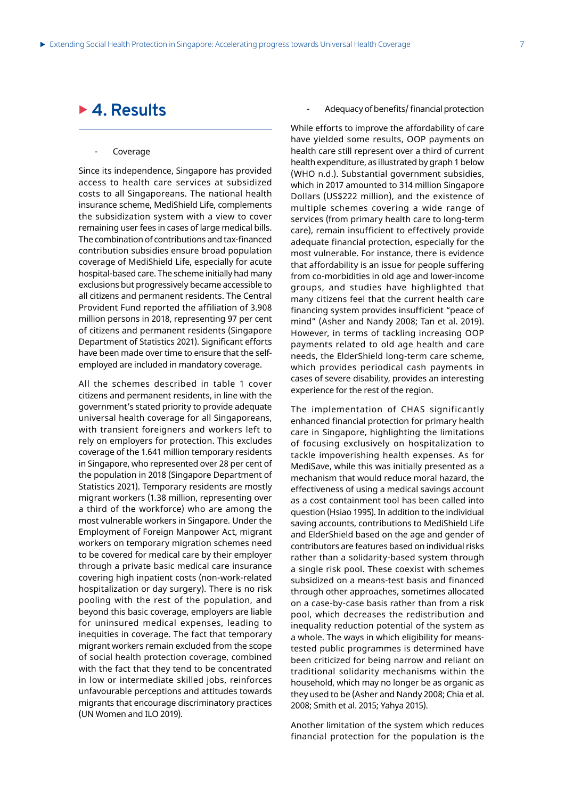## ▶ 4. Results

## **Coverage**

Since its independence, Singapore has provided access to health care services at subsidized costs to all Singaporeans. The national health insurance scheme, MediShield Life, complements the subsidization system with a view to cover remaining user fees in cases of large medical bills. The combination of contributions and tax-financed contribution subsidies ensure broad population coverage of MediShield Life, especially for acute hospital-based care. The scheme initially had many exclusions but progressively became accessible to all citizens and permanent residents. The Central Provident Fund reported the affiliation of 3.908 million persons in 2018, representing 97 per cent of citizens and permanent residents (Singapore Department of Statistics 2021). Significant efforts have been made over time to ensure that the selfemployed are included in mandatory coverage.

All the schemes described in table 1 cover citizens and permanent residents, in line with the government's stated priority to provide adequate universal health coverage for all Singaporeans, with transient foreigners and workers left to rely on employers for protection. This excludes coverage of the 1.641 million temporary residents in Singapore, who represented over 28 per cent of the population in 2018 (Singapore Department of Statistics 2021). Temporary residents are mostly migrant workers (1.38 million, representing over a third of the workforce) who are among the most vulnerable workers in Singapore. Under the Employment of Foreign Manpower Act, migrant workers on temporary migration schemes need to be covered for medical care by their employer through a private basic medical care insurance covering high inpatient costs (non-work-related hospitalization or day surgery). There is no risk pooling with the rest of the population, and beyond this basic coverage, employers are liable for uninsured medical expenses, leading to inequities in coverage. The fact that temporary migrant workers remain excluded from the scope of social health protection coverage, combined with the fact that they tend to be concentrated in low or intermediate skilled jobs, reinforces unfavourable perceptions and attitudes towards migrants that encourage discriminatory practices (UN Women and ILO 2019).

#### Adequacy of benefits/ financial protection

While efforts to improve the affordability of care have yielded some results, OOP payments on health care still represent over a third of current health expenditure, as illustrated by graph 1 below (WHO n.d.). Substantial government subsidies, which in 2017 amounted to 314 million Singapore Dollars (US\$222 million), and the existence of multiple schemes covering a wide range of services (from primary health care to long-term care), remain insufficient to effectively provide adequate financial protection, especially for the most vulnerable. For instance, there is evidence that affordability is an issue for people suffering from co-morbidities in old age and lower-income groups, and studies have highlighted that many citizens feel that the current health care financing system provides insufficient "peace of mind" (Asher and Nandy 2008; Tan et al. 2019). However, in terms of tackling increasing OOP payments related to old age health and care needs, the ElderShield long-term care scheme, which provides periodical cash payments in cases of severe disability, provides an interesting experience for the rest of the region.

The implementation of CHAS significantly enhanced financial protection for primary health care in Singapore, highlighting the limitations of focusing exclusively on hospitalization to tackle impoverishing health expenses. As for MediSave, while this was initially presented as a mechanism that would reduce moral hazard, the effectiveness of using a medical savings account as a cost containment tool has been called into question (Hsiao 1995). In addition to the individual saving accounts, contributions to MediShield Life and ElderShield based on the age and gender of contributors are features based on individual risks rather than a solidarity-based system through a single risk pool. These coexist with schemes subsidized on a means-test basis and financed through other approaches, sometimes allocated on a case-by-case basis rather than from a risk pool, which decreases the redistribution and inequality reduction potential of the system as a whole. The ways in which eligibility for meanstested public programmes is determined have been criticized for being narrow and reliant on traditional solidarity mechanisms within the household, which may no longer be as organic as they used to be (Asher and Nandy 2008; Chia et al. 2008; Smith et al. 2015; Yahya 2015).

Another limitation of the system which reduces financial protection for the population is the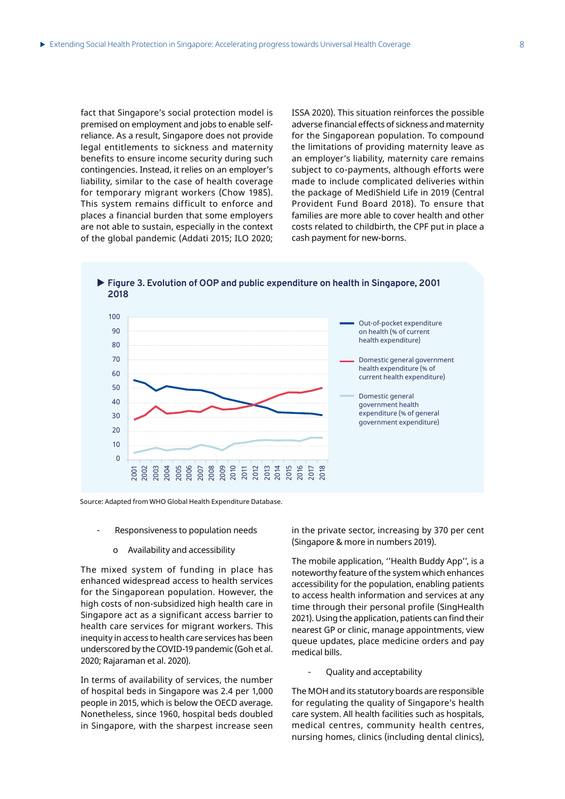fact that Singapore's social protection model is premised on employment and jobs to enable selfreliance. As a result, Singapore does not provide legal entitlements to sickness and maternity benefits to ensure income security during such contingencies. Instead, it relies on an employer's liability, similar to the case of health coverage for temporary migrant workers (Chow 1985). This system remains difficult to enforce and places a financial burden that some employers are not able to sustain, especially in the context of the global pandemic (Addati 2015; ILO 2020; ISSA 2020). This situation reinforces the possible adverse financial effects of sickness and maternity for the Singaporean population. To compound the limitations of providing maternity leave as an employer's liability, maternity care remains subject to co-payments, although efforts were made to include complicated deliveries within the package of MediShield Life in 2019 (Central Provident Fund Board 2018). To ensure that families are more able to cover health and other costs related to childbirth, the CPF put in place a cash payment for new-borns.



▶ Figure 3. Evolution of OOP and public expenditure on health in Singapore, 2001

Source: Adapted from WHO Global Health Expenditure Database.

- Responsiveness to population needs
	- o Availability and accessibility

The mixed system of funding in place has enhanced widespread access to health services for the Singaporean population. However, the high costs of non-subsidized high health care in Singapore act as a significant access barrier to health care services for migrant workers. This inequity in access to health care services has been underscored by the COVID-19 pandemic (Goh et al. 2020; Rajaraman et al. 2020).

In terms of availability of services, the number of hospital beds in Singapore was 2.4 per 1,000 people in 2015, which is below the OECD average. Nonetheless, since 1960, hospital beds doubled in Singapore, with the sharpest increase seen

in the private sector, increasing by 370 per cent (Singapore & more in numbers 2019).

The mobile application, ''Health Buddy App'', is a noteworthy feature of the system which enhances accessibility for the population, enabling patients to access health information and services at any time through their personal profile (SingHealth 2021). Using the application, patients can find their nearest GP or clinic, manage appointments, view queue updates, place medicine orders and pay medical bills.

- Quality and acceptability

The MOH and its statutory boards are responsible for regulating the quality of Singapore's health care system. All health facilities such as hospitals, medical centres, community health centres, nursing homes, clinics (including dental clinics),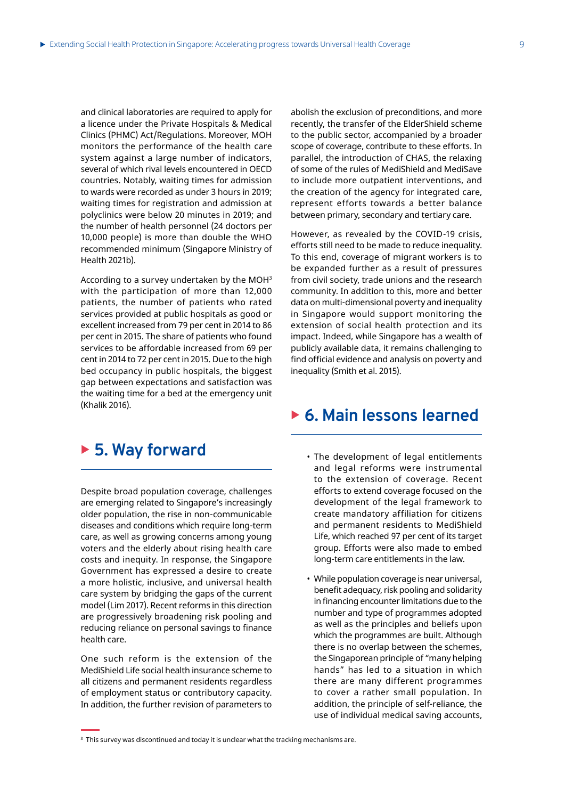and clinical laboratories are required to apply for a licence under the Private Hospitals & Medical Clinics (PHMC) Act/Regulations. Moreover, MOH monitors the performance of the health care system against a large number of indicators, several of which rival levels encountered in OECD countries. Notably, waiting times for admission to wards were recorded as under 3 hours in 2019; waiting times for registration and admission at polyclinics were below 20 minutes in 2019; and the number of health personnel (24 doctors per 10,000 people) is more than double the WHO recommended minimum (Singapore Ministry of Health 2021b).

According to a survey undertaken by the MOH3 with the participation of more than 12,000 patients, the number of patients who rated services provided at public hospitals as good or excellent increased from 79 per cent in 2014 to 86 per cent in 2015. The share of patients who found services to be affordable increased from 69 per cent in 2014 to 72 per cent in 2015. Due to the high bed occupancy in public hospitals, the biggest gap between expectations and satisfaction was the waiting time for a bed at the emergency unit (Khalik 2016).

## ▶ 5. Way forward

Despite broad population coverage, challenges are emerging related to Singapore's increasingly older population, the rise in non-communicable diseases and conditions which require long-term care, as well as growing concerns among young voters and the elderly about rising health care costs and inequity. In response, the Singapore Government has expressed a desire to create a more holistic, inclusive, and universal health care system by bridging the gaps of the current model (Lim 2017). Recent reforms in this direction are progressively broadening risk pooling and reducing reliance on personal savings to finance health care.

One such reform is the extension of the MediShield Life social health insurance scheme to all citizens and permanent residents regardless of employment status or contributory capacity. In addition, the further revision of parameters to abolish the exclusion of preconditions, and more recently, the transfer of the ElderShield scheme to the public sector, accompanied by a broader scope of coverage, contribute to these efforts. In parallel, the introduction of CHAS, the relaxing of some of the rules of MediShield and MediSave to include more outpatient interventions, and the creation of the agency for integrated care, represent efforts towards a better balance between primary, secondary and tertiary care.

However, as revealed by the COVID-19 crisis, efforts still need to be made to reduce inequality. To this end, coverage of migrant workers is to be expanded further as a result of pressures from civil society, trade unions and the research community. In addition to this, more and better data on multi-dimensional poverty and inequality in Singapore would support monitoring the extension of social health protection and its impact. Indeed, while Singapore has a wealth of publicly available data, it remains challenging to find official evidence and analysis on poverty and inequality (Smith et al. 2015).

## ▶ 6. Main lessons learned

- The development of legal entitlements and legal reforms were instrumental to the extension of coverage. Recent efforts to extend coverage focused on the development of the legal framework to create mandatory affiliation for citizens and permanent residents to MediShield Life, which reached 97 per cent of its target group. Efforts were also made to embed long-term care entitlements in the law.
- While population coverage is near universal, benefit adequacy, risk pooling and solidarity in financing encounter limitations due to the number and type of programmes adopted as well as the principles and beliefs upon which the programmes are built. Although there is no overlap between the schemes, the Singaporean principle of "many helping hands" has led to a situation in which there are many different programmes to cover a rather small population. In addition, the principle of self-reliance, the use of individual medical saving accounts,

 $\,$  This survey was discontinued and today it is unclear what the tracking mechanisms are.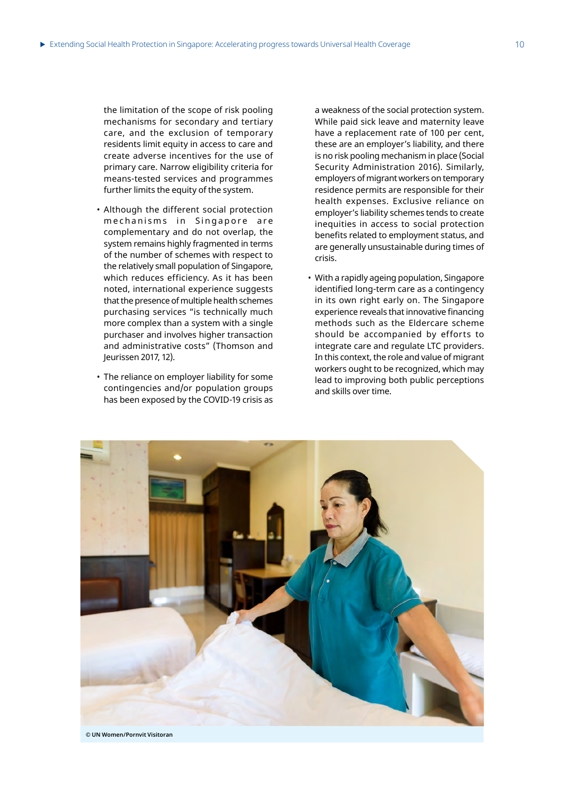the limitation of the scope of risk pooling mechanisms for secondary and tertiary care, and the exclusion of temporary residents limit equity in access to care and create adverse incentives for the use of primary care. Narrow eligibility criteria for means-tested services and programmes further limits the equity of the system.

- Although the different social protection mechanisms in Singapore are complementary and do not overlap, the system remains highly fragmented in terms of the number of schemes with respect to the relatively small population of Singapore, which reduces efficiency. As it has been noted, international experience suggests that the presence of multiple health schemes purchasing services "is technically much more complex than a system with a single purchaser and involves higher transaction and administrative costs" (Thomson and Jeurissen 2017, 12).
- The reliance on employer liability for some contingencies and/or population groups has been exposed by the COVID-19 crisis as

a weakness of the social protection system. While paid sick leave and maternity leave have a replacement rate of 100 per cent, these are an employer's liability, and there is no risk pooling mechanism in place (Social Security Administration 2016). Similarly, employers of migrant workers on temporary residence permits are responsible for their health expenses. Exclusive reliance on employer's liability schemes tends to create inequities in access to social protection benefits related to employment status, and are generally unsustainable during times of crisis.

• With a rapidly ageing population, Singapore identified long-term care as a contingency in its own right early on. The Singapore experience reveals that innovative financing methods such as the Eldercare scheme should be accompanied by efforts to integrate care and regulate LTC providers. In this context, the role and value of migrant workers ought to be recognized, which may lead to improving both public perceptions and skills over time.

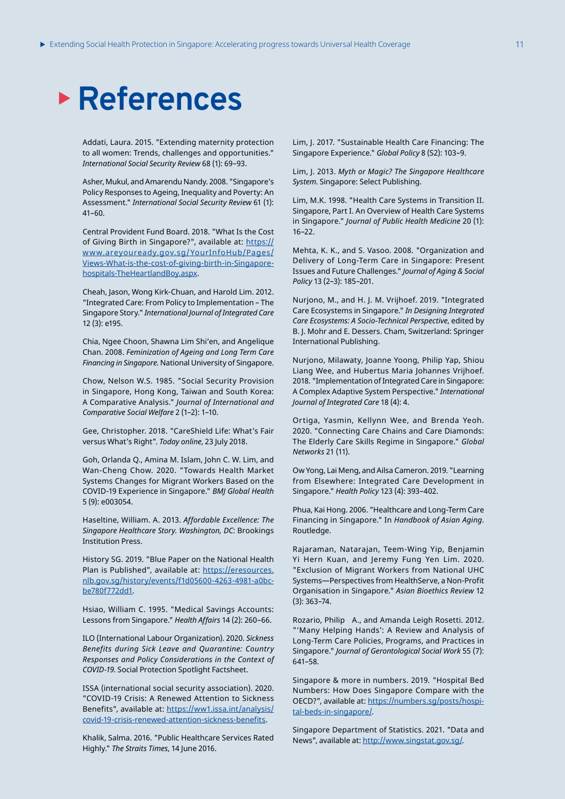# **References**

Addati, Laura. 2015. "Extending maternity protection to all women: Trends, challenges and opportunities." *International Social Security Review* 68 (1): 69–93.

Asher, Mukul, and Amarendu Nandy. 2008. "Singapore's Policy Responses to Ageing, Inequality and Poverty: An Assessment." *International Social Security Review* 61 (1): 41–60.

Central Provident Fund Board. 2018. "What Is the Cost of Giving Birth in Singapore?", available at: https:// www.areyouready.gov.sg/YourInfoHub/Pages/ Views-What-is-the-cost-of-giving-birth-in-Singaporehospitals-TheHeartlandBoy.aspx.

Cheah, Jason, Wong Kirk-Chuan, and Harold Lim. 2012. "Integrated Care: From Policy to Implementation – The Singapore Story." *International Journal of Integrated Care* 12 (3): e195.

Chia, Ngee Choon, Shawna Lim Shi'en, and Angelique Chan. 2008. *Feminization of Ageing and Long Term Care Financing in Singapore*. National University of Singapore.

Chow, Nelson W.S. 1985. "Social Security Provision in Singapore, Hong Kong, Taiwan and South Korea: A Comparative Analysis." *Journal of International and Comparative Social Welfare* 2 (1–2): 1–10.

Gee, Christopher. 2018. "CareShield Life: What's Fair versus What's Right". *Today online*, 23 July 2018.

Goh, Orlanda Q., Amina M. Islam, John C. W. Lim, and Wan-Cheng Chow. 2020. "Towards Health Market Systems Changes for Migrant Workers Based on the COVID-19 Experience in Singapore." *BMJ Global Health* 5 (9): e003054.

Haseltine, William. A. 2013. *Affordable Excellence: The Singapore Healthcare Story. Washington, DC*: Brookings Institution Press.

History SG. 2019. "Blue Paper on the National Health Plan is Published", available at: https://eresources. nlb.gov.sg/history/events/f1d05600-4263-4981-a0bcbe780f772dd1.

Hsiao, William C. 1995. "Medical Savings Accounts: Lessons from Singapore." *Health Affairs* 14 (2): 260–66.

ILO (International Labour Organization). 2020. *Sickness Benefits during Sick Leave and Quarantine: Country Responses and Policy Considerations in the Context of COVID-19*. Social Protection Spotlight Factsheet.

ISSA (international social security association). 2020. "COVID-19 Crisis: A Renewed Attention to Sickness Benefits", available at: https://ww1.issa.int/analysis/ covid-19-crisis-renewed-attention-sickness-benefits.

Khalik, Salma. 2016. "Public Healthcare Services Rated Highly." *The Straits Times*, 14 June 2016.

Lim, J. 2017. "Sustainable Health Care Financing: The Singapore Experience." *Global Policy* 8 (S2): 103–9.

Lim, J. 2013. *Myth or Magic? The Singapore Healthcare System*. Singapore: Select Publishing.

Lim, M.K. 1998. "Health Care Systems in Transition II. Singapore, Part I. An Overview of Health Care Systems in Singapore." *Journal of Public Health Medicine* 20 (1): 16–22.

Mehta, K. K., and S. Vasoo. 2008. "Organization and Delivery of Long-Term Care in Singapore: Present Issues and Future Challenges." *Journal of Aging & Social Policy* 13 (2–3): 185–201.

Nurjono, M., and H. J. M. Vrijhoef. 2019. "Integrated Care Ecosystems in Singapore." *In Designing Integrated Care Ecosystems: A Socio-Technical Perspective*, edited by B. J. Mohr and E. Dessers. Cham, Switzerland: Springer International Publishing.

Nurjono, Milawaty, Joanne Yoong, Philip Yap, Shiou Liang Wee, and Hubertus Maria Johannes Vrijhoef. 2018. "Implementation of Integrated Care in Singapore: A Complex Adaptive System Perspective." *International Journal of Integrated Care* 18 (4): 4.

Ortiga, Yasmin, Kellynn Wee, and Brenda Yeoh. 2020. "Connecting Care Chains and Care Diamonds: The Elderly Care Skills Regime in Singapore." *Global Networks* 21 (11).

Ow Yong, Lai Meng, and Ailsa Cameron. 2019. "Learning from Elsewhere: Integrated Care Development in Singapore." *Health Policy* 123 (4): 393–402.

Phua, Kai Hong. 2006. "Healthcare and Long-Term Care Financing in Singapore." In *Handbook of Asian Aging*. Routledge.

Rajaraman, Natarajan, Teem-Wing Yip, Benjamin Yi Hern Kuan, and Jeremy Fung Yen Lim. 2020. "Exclusion of Migrant Workers from National UHC Systems—Perspectives from HealthServe, a Non-Profit Organisation in Singapore." *Asian Bioethics Review* 12 (3): 363–74.

Rozario, Philip A., and Amanda Leigh Rosetti. 2012. "'Many Helping Hands': A Review and Analysis of Long-Term Care Policies, Programs, and Practices in Singapore." *Journal of Gerontological Social Work* 55 (7): 641–58.

Singapore & more in numbers. 2019. "Hospital Bed Numbers: How Does Singapore Compare with the OECD?", available at: https://numbers.sg/posts/hospital-beds-in-singapore/.

Singapore Department of Statistics. 2021. "Data and News", available at: http://www.singstat.gov.sg/.